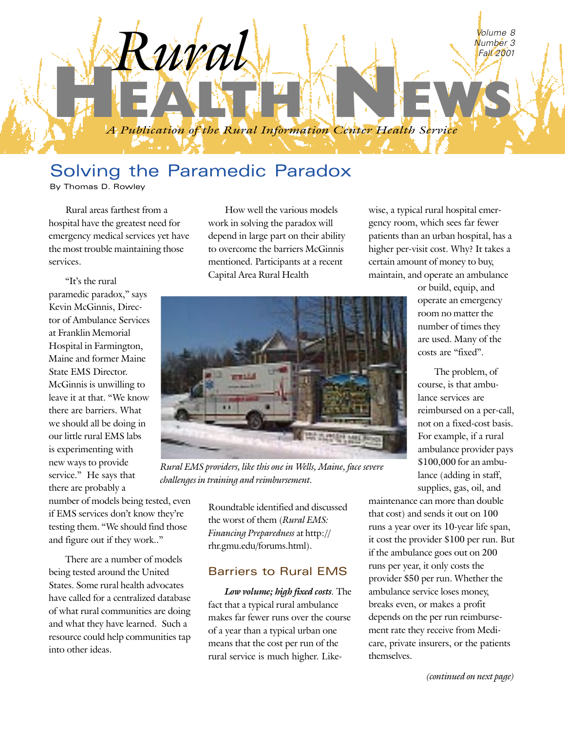

# Solving the Paramedic Paradox

By Thomas D. Rowley

Rural areas farthest from a hospital have the greatest need for emergency medical services yet have the most trouble maintaining those services.

How well the various models work in solving the paradox will depend in large part on their ability to overcome the barriers McGinnis mentioned. Participants at a recent Capital Area Rural Health

wise, a typical rural hospital emergency room, which sees far fewer patients than an urban hospital, has a higher per-visit cost. Why? It takes a certain amount of money to buy, maintain, and operate an ambulance

"It's the rural paramedic paradox," says Kevin McGinnis, Director of Ambulance Services at Franklin Memorial Hospital in Farmington, Maine and former Maine State EMS Director. McGinnis is unwilling to leave it at that. "We know there are barriers. What we should all be doing in our little rural EMS labs is experimenting with new ways to provide service." He says that there are probably a

number of models being tested, even if EMS services don't know they're testing them. "We should find those and figure out if they work.."

There are a number of models being tested around the United States. Some rural health advocates have called for a centralized database of what rural communities are doing and what they have learned. Such a resource could help communities tap into other ideas.

or build, equip, and operate an emergency room no matter the number of times they are used. Many of the costs are "fixed"

The problem, of course, is that ambulance services are reimbursed on a per-call, not on a fixed-cost basis. For example, if a rural ambulance provider pays \$100,000 for an ambulance (adding in staff, supplies, gas, oil, and

maintenance can more than double that cost) and sends it out on 100 runs a year over its 10-year life span, it cost the provider \$100 per run. But if the ambulance goes out on 200 runs per year, it only costs the provider \$50 per run. Whether the ambulance service loses money, breaks even, or makes a profit depends on the per run reimbursement rate they receive from Medicare, private insurers, or the patients themselves.



*Rural EMS providers, like this one in Wells, Maine, face severe challenges in training and reimbursement.*

Roundtable identified and discussed the worst of them (*Rural EMS: Financing Preparedness* at http:// rhr.gmu.edu/forums.html).

## Barriers to Rural EMS

*Low volume; high fixed costs.* The fact that a typical rural ambulance makes far fewer runs over the course of a year than a typical urban one means that the cost per run of the rural service is much higher. Like-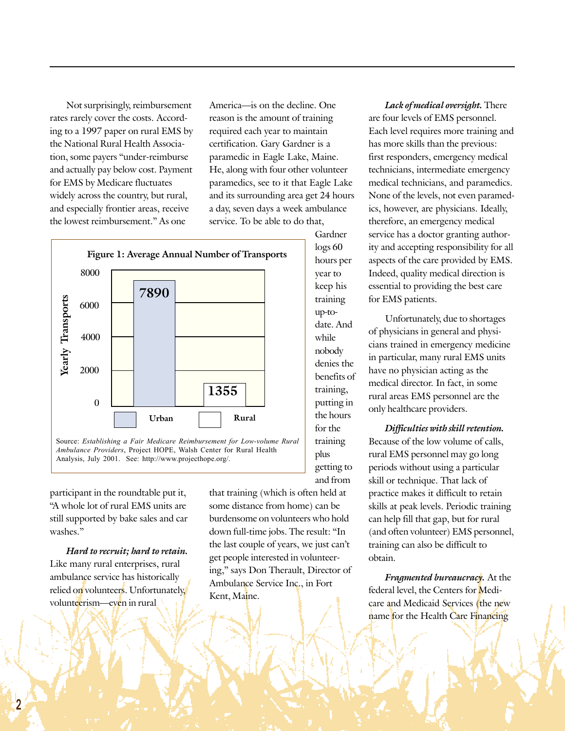Not surprisingly, reimbursement rates rarely cover the costs. According to a 1997 paper on rural EMS by the National Rural Health Association, some payers "under-reimburse and actually pay below cost. Payment for EMS by Medicare fluctuates widely across the country, but rural, and especially frontier areas, receive the lowest reimbursement." As one

America—is on the decline. One reason is the amount of training required each year to maintain certification. Gary Gardner is a paramedic in Eagle Lake, Maine. He, along with four other volunteer paramedics, see to it that Eagle Lake and its surrounding area get 24 hours a day, seven days a week ambulance service. To be able to do that,

> Gardner logs 60 hours per year to keep his training up-todate. And while nobody denies the benefits of training, putting in the hours for the training plus getting to and from



*Ambulance Providers*, Project HOPE, Walsh Center for Rural Health Analysis, July 2001. See: http://www.projecthope.org/.

participant in the roundtable put it, "A whole lot of rural EMS units are still supported by bake sales and car washes."

*Hard to recruit; hard to retain.* Like many rural enterprises, rural ambulance service has historically relied on volunteers. Unfortunately, volunteerism—even in rural

that training (which is often held at some distance from home) can be burdensome on volunteers who hold down full-time jobs. The result: "In the last couple of years, we just can't get people interested in volunteering," says Don Therault, Director of Ambulance Service Inc., in Fort Kent, Maine.

*Lack of medical oversight.* There are four levels of EMS personnel. Each level requires more training and has more skills than the previous: first responders, emergency medical technicians, intermediate emergency medical technicians, and paramedics. None of the levels, not even paramedics, however, are physicians. Ideally, therefore, an emergency medical service has a doctor granting authority and accepting responsibility for all aspects of the care provided by EMS. Indeed, quality medical direction is essential to providing the best care for EMS patients.

Unfortunately, due to shortages of physicians in general and physicians trained in emergency medicine in particular, many rural EMS units have no physician acting as the medical director. In fact, in some rural areas EMS personnel are the only healthcare providers.

*Difficulties with skill retention.* Because of the low volume of calls, rural EMS personnel may go long periods without using a particular skill or technique. That lack of practice makes it difficult to retain skills at peak levels. Periodic training can help fill that gap, but for rural (and often volunteer) EMS personnel, training can also be difficult to obtain.

*Fragmented bureaucracy.* At the federal level, the Centers for Medicare and Medicaid Services (the new name for the Health Care Financing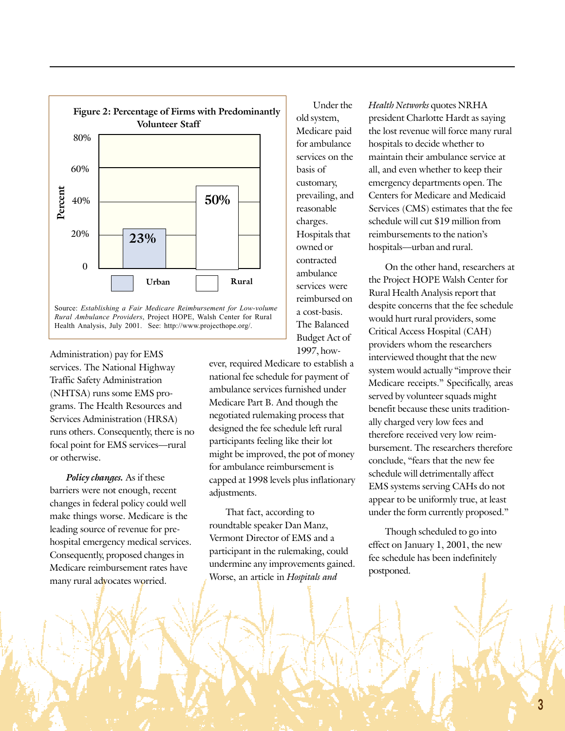

Administration) pay for EMS services. The National Highway Traffic Safety Administration (NHTSA) runs some EMS programs. The Health Resources and Services Administration (HRSA) runs others. Consequently, there is no focal point for EMS services-rural or otherwise.

*Policy changes.* As if these barriers were not enough, recent changes in federal policy could well make things worse. Medicare is the leading source of revenue for prehospital emergency medical services. Consequently, proposed changes in Medicare reimbursement rates have many rural advocates worried.

Medicare paid for ambulance services on the basis of customary, prevailing, and reasonable charges. Hospitals that owned or contracted ambulance services were reimbursed on a cost-basis. The Balanced Budget Act of 1997, however, required Medicare to establish a

Under the

old system,

*Health Networks* quotes NRHA president Charlotte Hardt as saying the lost revenue will force many rural hospitals to decide whether to maintain their ambulance service at all, and even whether to keep their emergency departments open. The Centers for Medicare and Medicaid Services (CMS) estimates that the fee schedule will cut \$19 million from reimbursements to the nation's hospitals—urban and rural.

On the other hand, researchers at the Project HOPE Walsh Center for Rural Health Analysis report that despite concerns that the fee schedule would hurt rural providers, some Critical Access Hospital (CAH) providers whom the researchers interviewed thought that the new system would actually "improve their Medicare receipts." Specifically, areas served by volunteer squads might benefit because these units traditionally charged very low fees and therefore received very low reimbursement. The researchers therefore conclude, "fears that the new fee schedule will detrimentally affect EMS systems serving CAHs do not appear to be uniformly true, at least under the form currently proposed."

Though scheduled to go into effect on January 1, 2001, the new fee schedule has been indefinitely postponed.

national fee schedule for payment of ambulance services furnished under Medicare Part B. And though the negotiated rulemaking process that designed the fee schedule left rural participants feeling like their lot might be improved, the pot of money for ambulance reimbursement is capped at 1998 levels plus inflationary adjustments.

That fact, according to roundtable speaker Dan Manz, Vermont Director of EMS and a participant in the rulemaking, could undermine any improvements gained. Worse, an article in *Hospitals and*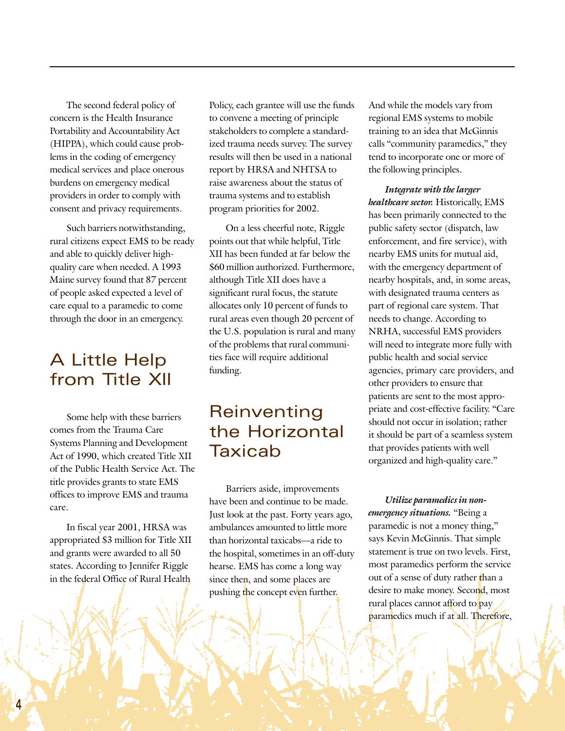The second federal policy of concern is the Health Insurance Portability and Accountability Act (HIPPA), which could cause problems in the coding of emergency medical services and place onerous burdens on emergency medical providers in order to comply with consent and privacy requirements.

Such barriers notwithstanding, rural citizens expect EMS to be ready and able to quickly deliver highquality care when needed. A 1993 Maine survey found that 87 percent of people asked expected a level of care equal to a paramedic to come through the door in an emergency.

## A Little Help from Title XII

Some help with these barriers comes from the Trauma Care Systems Planning and Development Act of 1990, which created Title XII of the Public Health Service Act. The title provides grants to state EMS offices to improve EMS and trauma care.

In fiscal year 2001, HRSA was appropriated \$3 million for Title XII and grants were awarded to all 50 states. According to Jennifer Riggle in the federal Office of Rural Health

Policy, each grantee will use the funds to convene a meeting of principle stakeholders to complete a standardized trauma needs survey. The survey results will then be used in a national report by HRSA and NHTSA to raise awareness about the status of trauma systems and to establish program priorities for 2002.

On a less cheerful note, Riggle points out that while helpful, Title XII has been funded at far below the \$60 million authorized. Furthermore, although Title XII does have a significant rural focus, the statute allocates only 10 percent of funds to rural areas even though 20 percent of the U.S. population is rural and many of the problems that rural communities face will require additional funding.

## Reinventing the Horizontal Taxicab

Barriers aside, improvements have been and continue to be made. Just look at the past. Forty years ago, ambulances amounted to little more than horizontal taxicabs-a ride to the hospital, sometimes in an off-duty hearse. EMS has come a long way since then, and some places are pushing the concept even further.

And while the models vary from regional EMS systems to mobile training to an idea that McGinnis calls "community paramedics," they tend to incorporate one or more of the following principles.

*Integrate with the larger healthcare sector.* Historically, EMS has been primarily connected to the public safety sector (dispatch, law enforcement, and fire service), with nearby EMS units for mutual aid, with the emergency department of nearby hospitals, and, in some areas, with designated trauma centers as part of regional care system. That needs to change. According to NRHA, successful EMS providers will need to integrate more fully with public health and social service agencies, primary care providers, and other providers to ensure that patients are sent to the most appropriate and cost-effective facility. "Care should not occur in isolation; rather it should be part of a seamless system that provides patients with well organized and high-quality care."

*Utilize paramedics in nonemergency situations.* "Being a paramedic is not a money thing," says Kevin McGinnis. That simple statement is true on two levels. First, most paramedics perform the service out of a sense of duty rather than a desire to make money. Second, most rural places cannot afford to pay paramedics much if at all. Therefore,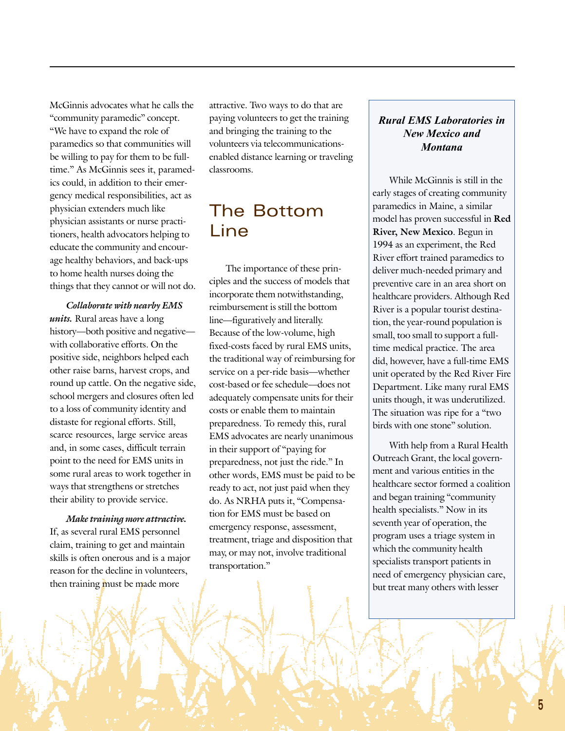McGinnis advocates what he calls the "community paramedic" concept. "We have to expand the role of paramedics so that communities will be willing to pay for them to be fulltime." As McGinnis sees it, paramedics could, in addition to their emergency medical responsibilities, act as physician extenders much like physician assistants or nurse practitioners, health advocators helping to educate the community and encourage healthy behaviors, and back-ups to home health nurses doing the things that they cannot or will not do.

*Collaborate with nearby EMS units.* Rural areas have a long history-both positive and negativewith collaborative efforts. On the positive side, neighbors helped each other raise barns, harvest crops, and round up cattle. On the negative side, school mergers and closures often led to a loss of community identity and distaste for regional efforts. Still, scarce resources, large service areas and, in some cases, difficult terrain point to the need for EMS units in some rural areas to work together in ways that strengthens or stretches their ability to provide service.

*Make training more attractive.* If, as several rural EMS personnel claim, training to get and maintain skills is often onerous and is a major reason for the decline in volunteers, then training must be made more

attractive. Two ways to do that are paying volunteers to get the training and bringing the training to the volunteers via telecommunicationsenabled distance learning or traveling classrooms.

# The Bottom **Line**

The importance of these principles and the success of models that incorporate them notwithstanding, reimbursement is still the bottom line—figuratively and literally. Because of the low-volume, high fixed-costs faced by rural EMS units, the traditional way of reimbursing for service on a per-ride basis—whether cost-based or fee schedule-does not adequately compensate units for their costs or enable them to maintain preparedness. To remedy this, rural EMS advocates are nearly unanimous in their support of "paying for preparedness, not just the ride." In other words, EMS must be paid to be ready to act, not just paid when they do. As NRHA puts it, "Compensation for EMS must be based on emergency response, assessment, treatment, triage and disposition that may, or may not, involve traditional transportation."

## *Rural EMS Laboratories in New Mexico and Montana*

While McGinnis is still in the early stages of creating community paramedics in Maine, a similar model has proven successful in **Red River, New Mexico**. Begun in 1994 as an experiment, the Red River effort trained paramedics to deliver much-needed primary and preventive care in an area short on healthcare providers. Although Red River is a popular tourist destination, the year-round population is small, too small to support a fulltime medical practice. The area did, however, have a full-time EMS unit operated by the Red River Fire Department. Like many rural EMS units though, it was underutilized. The situation was ripe for a "two birds with one stone" solution.

With help from a Rural Health Outreach Grant, the local government and various entities in the healthcare sector formed a coalition and began training "community health specialists." Now in its seventh year of operation, the program uses a triage system in which the community health specialists transport patients in need of emergency physician care, but treat many others with lesser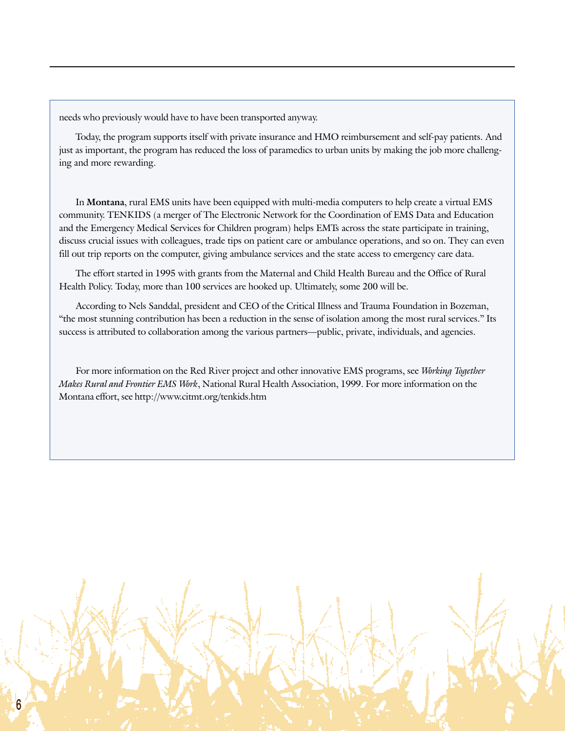needs who previously would have to have been transported anyway.

Today, the program supports itself with private insurance and HMO reimbursement and self-pay patients. And just as important, the program has reduced the loss of paramedics to urban units by making the job more challenging and more rewarding.

In **Montana**, rural EMS units have been equipped with multi-media computers to help create a virtual EMS community. TENKIDS (a merger of The Electronic Network for the Coordination of EMS Data and Education and the Emergency Medical Services for Children program) helps EMTs across the state participate in training, discuss crucial issues with colleagues, trade tips on patient care or ambulance operations, and so on. They can even fill out trip reports on the computer, giving ambulance services and the state access to emergency care data.

The effort started in 1995 with grants from the Maternal and Child Health Bureau and the Office of Rural Health Policy. Today, more than 100 services are hooked up. Ultimately, some 200 will be.

According to Nels Sanddal, president and CEO of the Critical Illness and Trauma Foundation in Bozeman, "the most stunning contribution has been a reduction in the sense of isolation among the most rural services." Its success is attributed to collaboration among the various partners—public, private, individuals, and agencies.

For more information on the Red River project and other innovative EMS programs, see *Working Together Makes Rural and Frontier EMS Work*, National Rural Health Association, 1999. For more information on the Montana effort, see http://www.citmt.org/tenkids.htm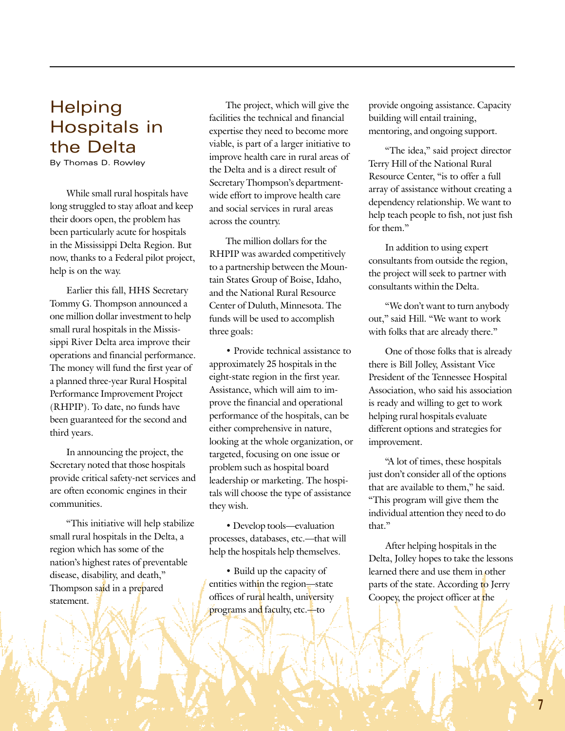## **Helping** Hospitals in the Delta

By Thomas D. Rowley

While small rural hospitals have long struggled to stay afloat and keep their doors open, the problem has been particularly acute for hospitals in the Mississippi Delta Region. But now, thanks to a Federal pilot project, help is on the way.

Earlier this fall, HHS Secretary Tommy G. Thompson announced a one million dollar investment to help small rural hospitals in the Mississippi River Delta area improve their operations and financial performance. The money will fund the first year of a planned three-year Rural Hospital Performance Improvement Project (RHPIP). To date, no funds have been guaranteed for the second and third years.

In announcing the project, the Secretary noted that those hospitals provide critical safety-net services and are often economic engines in their communities.

"This initiative will help stabilize small rural hospitals in the Delta, a region which has some of the nation's highest rates of preventable disease, disability, and death," Thompson said in a prepared statement.

The project, which will give the facilities the technical and financial expertise they need to become more viable, is part of a larger initiative to improve health care in rural areas of the Delta and is a direct result of Secretary Thompson's departmentwide effort to improve health care and social services in rural areas across the country.

The million dollars for the RHPIP was awarded competitively to a partnership between the Mountain States Group of Boise, Idaho, and the National Rural Resource Center of Duluth, Minnesota. The funds will be used to accomplish three goals:

• Provide technical assistance to approximately 25 hospitals in the eight-state region in the first year. Assistance, which will aim to improve the financial and operational performance of the hospitals, can be either comprehensive in nature, looking at the whole organization, or targeted, focusing on one issue or problem such as hospital board leadership or marketing. The hospitals will choose the type of assistance they wish.

• Develop tools—evaluation processes, databases, etc.—that will help the hospitals help themselves.

• Build up the capacity of entities within the region-state offices of rural health, university programs and faculty, etc.-to

provide ongoing assistance. Capacity building will entail training, mentoring, and ongoing support.

"The idea," said project director Terry Hill of the National Rural Resource Center, "is to offer a full array of assistance without creating a dependency relationship. We want to help teach people to fish, not just fish for them."

In addition to using expert consultants from outside the region, the project will seek to partner with consultants within the Delta.

"We don't want to turn anybody out," said Hill. "We want to work with folks that are already there."

One of those folks that is already there is Bill Jolley, Assistant Vice President of the Tennessee Hospital Association, who said his association is ready and willing to get to work helping rural hospitals evaluate different options and strategies for improvement.

"A lot of times, these hospitals just don't consider all of the options that are available to them," he said. "This program will give them the individual attention they need to do that."

After helping hospitals in the Delta, Jolley hopes to take the lessons learned there and use them in other parts of the state. According to Jerry Coopey, the project officer at the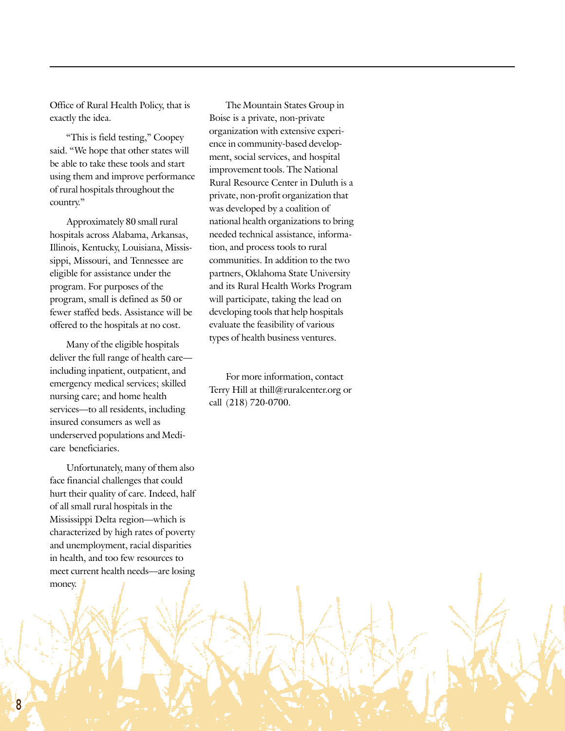Office of Rural Health Policy, that is exactly the idea.

"This is field testing," Coopey said. "We hope that other states will be able to take these tools and start using them and improve performance of rural hospitals throughout the country."

Approximately 80 small rural hospitals across Alabama, Arkansas, Illinois, Kentucky, Louisiana, Mississippi, Missouri, and Tennessee are eligible for assistance under the program. For purposes of the program, small is defined as 50 or fewer staffed beds. Assistance will be offered to the hospitals at no cost.

Many of the eligible hospitals deliver the full range of health care including inpatient, outpatient, and emergency medical services; skilled nursing care; and home health services-to all residents, including insured consumers as well as underserved populations and Medicare beneficiaries.

Unfortunately, many of them also face financial challenges that could hurt their quality of care. Indeed, half of all small rural hospitals in the Mississippi Delta region-which is characterized by high rates of poverty and unemployment, racial disparities in health, and too few resources to meet current health needs—are losing money.

The Mountain States Group in Boise is a private, non-private organization with extensive experience in community-based development, social services, and hospital improvement tools. The National Rural Resource Center in Duluth is a private, non-profit organization that was developed by a coalition of national health organizations to bring needed technical assistance, information, and process tools to rural communities. In addition to the two partners, Oklahoma State University and its Rural Health Works Program will participate, taking the lead on developing tools that help hospitals evaluate the feasibility of various types of health business ventures.

For more information, contact Terry Hill at thill@ruralcenter.org or call (218) 720-0700.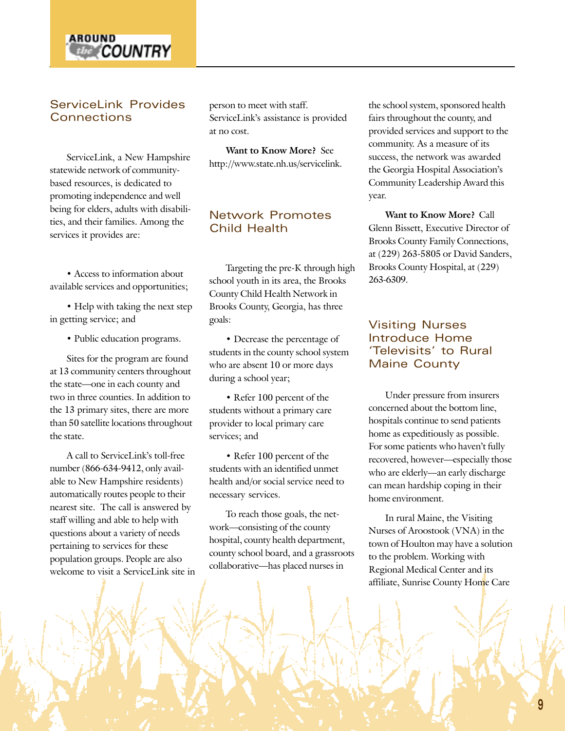

## ServiceLink Provides **Connections**

ServiceLink, a New Hampshire statewide network of communitybased resources, is dedicated to promoting independence and well being for elders, adults with disabilities, and their families. Among the services it provides are:

• Access to information about available services and opportunities;

• Help with taking the next step in getting service; and

• Public education programs.

Sites for the program are found at 13 community centers throughout the state—one in each county and two in three counties. In addition to the 13 primary sites, there are more than 50 satellite locations throughout the state.

A call to ServiceLink's toll-free number (866-634-9412, only available to New Hampshire residents) automatically routes people to their nearest site. The call is answered by staff willing and able to help with questions about a variety of needs pertaining to services for these population groups. People are also welcome to visit a ServiceLink site in person to meet with staff. ServiceLink's assistance is provided at no cost.

**Want to Know More?** See http://www.state.nh.us/servicelink.

### Network Promotes Child Health

Targeting the pre-K through high school youth in its area, the Brooks County Child Health Network in Brooks County, Georgia, has three goals:

• Decrease the percentage of students in the county school system who are absent 10 or more days during a school year;

• Refer 100 percent of the students without a primary care provider to local primary care services; and

• Refer 100 percent of the students with an identified unmet health and/or social service need to necessary services.

To reach those goals, the network-consisting of the county hospital, county health department, county school board, and a grassroots collaborative—has placed nurses in

the school system, sponsored health fairs throughout the county, and provided services and support to the community. As a measure of its success, the network was awarded the Georgia Hospital Association's Community Leadership Award this year.

**Want to Know More?** Call Glenn Bissett, Executive Director of Brooks County Family Connections, at (229) 263-5805 or David Sanders, Brooks County Hospital, at (229) 263-6309.

### Visiting Nurses Introduce Home 'Televisits' to Rural Maine County

Under pressure from insurers concerned about the bottom line, hospitals continue to send patients home as expeditiously as possible. For some patients who haven't fully recovered, however—especially those who are elderly—an early discharge can mean hardship coping in their home environment.

In rural Maine, the Visiting Nurses of Aroostook (VNA) in the town of Houlton may have a solution to the problem. Working with Regional Medical Center and its affiliate, Sunrise County Home Care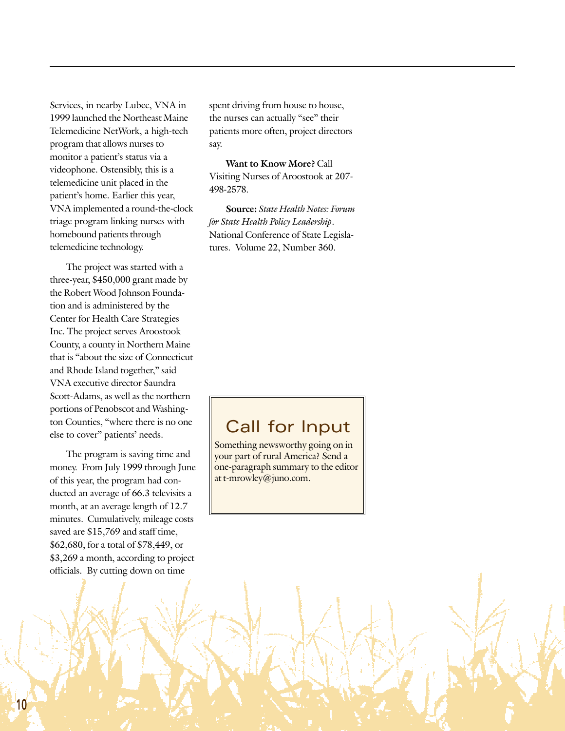Services, in nearby Lubec, VNA in 1999 launched the Northeast Maine Telemedicine NetWork, a high-tech program that allows nurses to monitor a patient's status via a videophone. Ostensibly, this is a telemedicine unit placed in the patient's home. Earlier this year, VNA implemented a round-the-clock triage program linking nurses with homebound patients through telemedicine technology.

The project was started with a three-year, \$450,000 grant made by the Robert Wood Johnson Foundation and is administered by the Center for Health Care Strategies Inc. The project serves Aroostook County, a county in Northern Maine that is "about the size of Connecticut and Rhode Island together," said VNA executive director Saundra Scott-Adams, as well as the northern portions of Penobscot and Washington Counties, "where there is no one else to cover" patients' needs.

The program is saving time and money. From July 1999 through June of this year, the program had conducted an average of 66.3 televisits a month, at an average length of 12.7 minutes. Cumulatively, mileage costs saved are \$15,769 and staff time, \$62,680, for a total of \$78,449, or \$3,269 a month, according to project officials. By cutting down on time

spent driving from house to house, the nurses can actually "see" their patients more often, project directors say.

**Want to Know More?** Call Visiting Nurses of Aroostook at 207- 498-2578.

**Source:** *State Health Notes: Forum for State Health Policy Leadership*. National Conference of State Legislatures. Volume 22, Number 360.

## Call for Input

Something newsworthy going on in your part of rural America? Send a one-paragraph summary to the editor at t-mrowley@juno.com.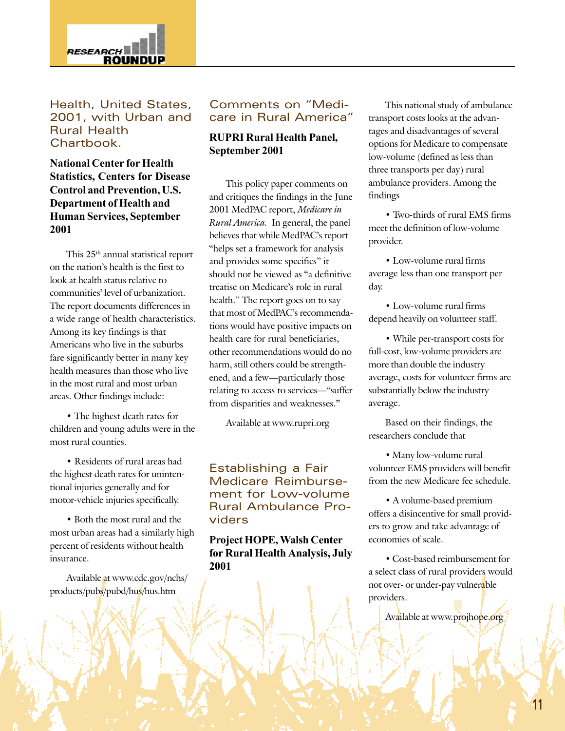

Health, United States, 2001, with Urban and Rural Health Chartbook.

**National Center for Health Statistics, Centers for Disease Control and Prevention, U.S. Department of Health and Human Services, September 2001**

This 25<sup>th</sup> annual statistical report on the nation's health is the first to look at health status relative to communities' level of urbanization. The report documents differences in a wide range of health characteristics. Among its key findings is that Americans who live in the suburbs fare significantly better in many key health measures than those who live in the most rural and most urban areas. Other findings include:

• The highest death rates for children and young adults were in the most rural counties.

ï Residents of rural areas had the highest death rates for unintentional injuries generally and for motor-vehicle injuries specifically.

• Both the most rural and the most urban areas had a similarly high percent of residents without health insurance.

Available at www.cdc.gov/nchs/ products/pubs/pubd/hus/hus.htm

### Comments on "Medicare in Rural America"

#### **RUPRI Rural Health Panel, September 2001**

This policy paper comments on and critiques the findings in the June 2001 MedPAC report, *Medicare in Rural America.* In general, the panel believes that while MedPAC's report "helps set a framework for analysis and provides some specifics" it should not be viewed as "a definitive treatise on Medicare's role in rural health." The report goes on to say that most of MedPAC's recommendations would have positive impacts on health care for rural beneficiaries, other recommendations would do no harm, still others could be strengthened, and a few-particularly those relating to access to services—"suffer from disparities and weaknesses."

Available at www.rupri.org

Establishing a Fair Medicare Reimbursement for Low-volume Rural Ambulance Providers

#### **Project HOPE, Walsh Center for Rural Health Analysis, July 2001**

This national study of ambulance transport costs looks at the advantages and disadvantages of several options for Medicare to compensate low-volume (defined as less than three transports per day) rural ambulance providers. Among the findings

• Two-thirds of rural EMS firms meet the definition of low-volume provider.

• Low-volume rural firms average less than one transport per day.

• Low-volume rural firms depend heavily on volunteer staff.

• While per-transport costs for full-cost, low-volume providers are more than double the industry average, costs for volunteer firms are substantially below the industry average.

Based on their findings, the researchers conclude that

• Many low-volume rural volunteer EMS providers will benefit from the new Medicare fee schedule.

• A volume-based premium offers a disincentive for small providers to grow and take advantage of economies of scale.

• Cost-based reimbursement for a select class of rural providers would not over- or under-pay vulnerable providers.

Available at www.projhope.org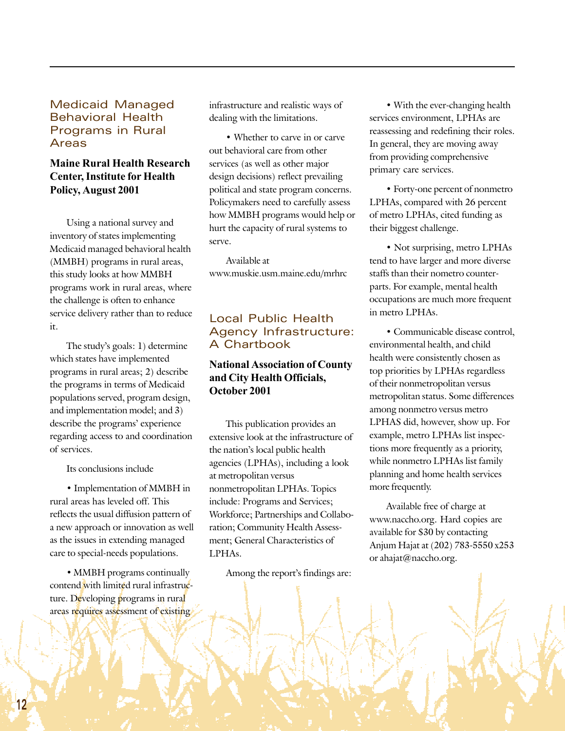#### Medicaid Managed Behavioral Health Programs in Rural Areas

## **Maine Rural Health Research Center, Institute for Health Policy, August 2001**

Using a national survey and inventory of states implementing Medicaid managed behavioral health (MMBH) programs in rural areas, this study looks at how MMBH programs work in rural areas, where the challenge is often to enhance service delivery rather than to reduce it.

The study's goals: 1) determine which states have implemented programs in rural areas; 2) describe the programs in terms of Medicaid populations served, program design, and implementation model; and 3) describe the programs' experience regarding access to and coordination of services.

Its conclusions include

• Implementation of MMBH in rural areas has leveled off. This reflects the usual diffusion pattern of a new approach or innovation as well as the issues in extending managed care to special-needs populations.

• MMBH programs continually contend with limited rural infrastructure. Developing programs in rural areas requires assessment of existing

infrastructure and realistic ways of dealing with the limitations.

• Whether to carve in or carve out behavioral care from other services (as well as other major design decisions) reflect prevailing political and state program concerns. Policymakers need to carefully assess how MMBH programs would help or hurt the capacity of rural systems to serve.

Available at www.muskie.usm.maine.edu/mrhrc

## Local Public Health Agency Infrastructure: A Chartbook

### **National Association of County and City Health Officials, October 2001**

This publication provides an extensive look at the infrastructure of the nation's local public health agencies (LPHAs), including a look at metropolitan versus nonmetropolitan LPHAs. Topics include: Programs and Services; Workforce; Partnerships and Collaboration; Community Health Assessment; General Characteristics of LPHAs.

Among the report's findings are:

• With the ever-changing health services environment, LPHAs are reassessing and redefining their roles. In general, they are moving away from providing comprehensive primary care services.

ï Forty-one percent of nonmetro LPHAs, compared with 26 percent of metro LPHAs, cited funding as their biggest challenge.

• Not surprising, metro LPHAs tend to have larger and more diverse staffs than their nometro counterparts. For example, mental health occupations are much more frequent in metro LPHAs.

• Communicable disease control, environmental health, and child health were consistently chosen as top priorities by LPHAs regardless of their nonmetropolitan versus metropolitan status. Some differences among nonmetro versus metro LPHAS did, however, show up. For example, metro LPHAs list inspections more frequently as a priority, while nonmetro LPHAs list family planning and home health services more frequently.

Available free of charge at www.naccho.org. Hard copies are available for \$30 by contacting Anjum Hajat at (202) 783-5550 x253 or ahajat@naccho.org.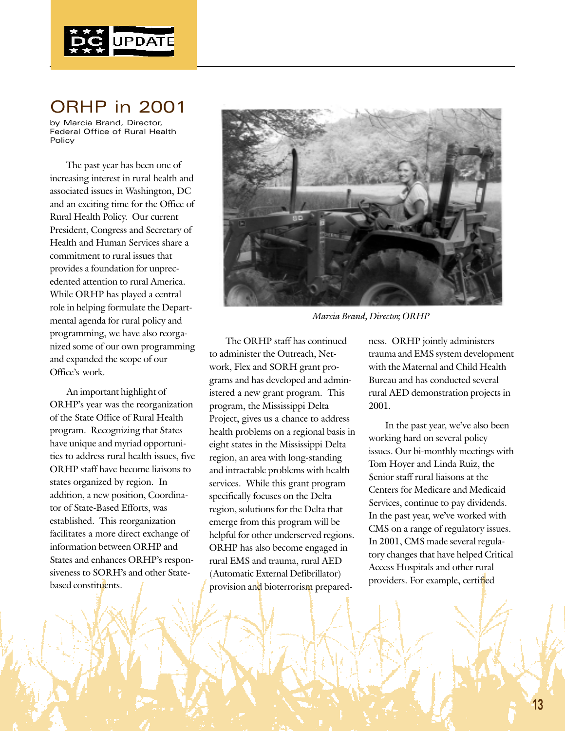

## ORHP in 2001

by Marcia Brand, Director, Federal Office of Rural Health Policy

The past year has been one of increasing interest in rural health and associated issues in Washington, DC and an exciting time for the Office of Rural Health Policy. Our current President, Congress and Secretary of Health and Human Services share a commitment to rural issues that provides a foundation for unprecedented attention to rural America. While ORHP has played a central role in helping formulate the Departmental agenda for rural policy and programming, we have also reorganized some of our own programming and expanded the scope of our Office's work.

An important highlight of ORHP's year was the reorganization of the State Office of Rural Health program. Recognizing that States have unique and myriad opportunities to address rural health issues, five ORHP staff have become liaisons to states organized by region. In addition, a new position, Coordinator of State-Based Efforts, was established. This reorganization facilitates a more direct exchange of information between ORHP and States and enhances ORHP's responsiveness to SORH's and other Statebased constituents.



*Marcia Brand, Director, ORHP*

The ORHP staff has continued to administer the Outreach, Network, Flex and SORH grant programs and has developed and administered a new grant program. This program, the Mississippi Delta Project, gives us a chance to address health problems on a regional basis in eight states in the Mississippi Delta region, an area with long-standing and intractable problems with health services. While this grant program specifically focuses on the Delta region, solutions for the Delta that emerge from this program will be helpful for other underserved regions. ORHP has also become engaged in rural EMS and trauma, rural AED (Automatic External Defibrillator) provision and bioterrorism preparedness. ORHP jointly administers trauma and EMS system development with the Maternal and Child Health Bureau and has conducted several rural AED demonstration projects in 2001.

In the past year, we've also been working hard on several policy issues. Our bi-monthly meetings with Tom Hoyer and Linda Ruiz, the Senior staff rural liaisons at the Centers for Medicare and Medicaid Services, continue to pay dividends. In the past year, we've worked with CMS on a range of regulatory issues. In 2001, CMS made several regulatory changes that have helped Critical Access Hospitals and other rural providers. For example, certified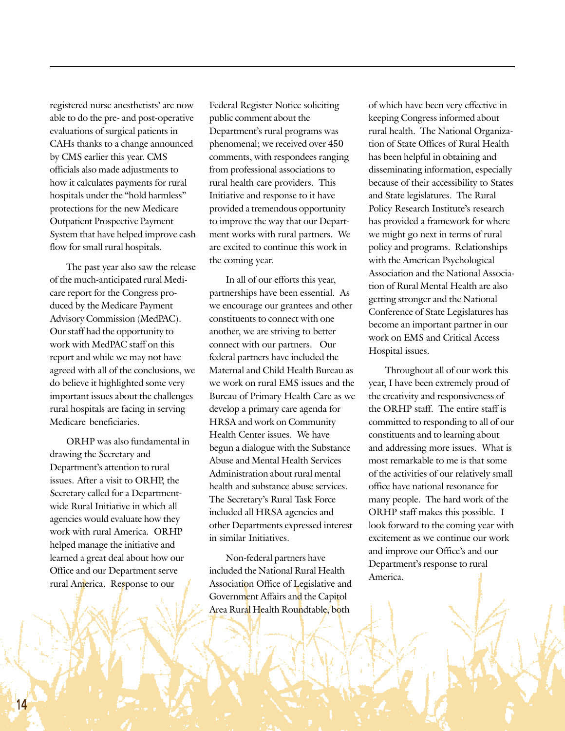registered nurse anesthetists' are now able to do the pre- and post-operative evaluations of surgical patients in CAHs thanks to a change announced by CMS earlier this year. CMS officials also made adjustments to how it calculates payments for rural hospitals under the "hold harmless" protections for the new Medicare Outpatient Prospective Payment System that have helped improve cash flow for small rural hospitals.

The past year also saw the release of the much-anticipated rural Medicare report for the Congress produced by the Medicare Payment Advisory Commission (MedPAC). Our staff had the opportunity to work with MedPAC staff on this report and while we may not have agreed with all of the conclusions, we do believe it highlighted some very important issues about the challenges rural hospitals are facing in serving Medicare beneficiaries.

ORHP was also fundamental in drawing the Secretary and Department's attention to rural issues. After a visit to ORHP, the Secretary called for a Departmentwide Rural Initiative in which all agencies would evaluate how they work with rural America. ORHP helped manage the initiative and learned a great deal about how our Office and our Department serve rural America. Response to our

Federal Register Notice soliciting public comment about the Department's rural programs was phenomenal; we received over 450 comments, with respondees ranging from professional associations to rural health care providers. This Initiative and response to it have provided a tremendous opportunity to improve the way that our Department works with rural partners. We are excited to continue this work in the coming year.

In all of our efforts this year, partnerships have been essential. As we encourage our grantees and other constituents to connect with one another, we are striving to better connect with our partners. Our federal partners have included the Maternal and Child Health Bureau as we work on rural EMS issues and the Bureau of Primary Health Care as we develop a primary care agenda for HRSA and work on Community Health Center issues. We have begun a dialogue with the Substance Abuse and Mental Health Services Administration about rural mental health and substance abuse services. The Secretary's Rural Task Force included all HRSA agencies and other Departments expressed interest in similar Initiatives.

Non-federal partners have included the National Rural Health Association Office of Legislative and Government Affairs and the Capitol Area Rural Health Roundtable, both

of which have been very effective in keeping Congress informed about rural health. The National Organization of State Offices of Rural Health has been helpful in obtaining and disseminating information, especially because of their accessibility to States and State legislatures. The Rural Policy Research Institute's research has provided a framework for where we might go next in terms of rural policy and programs. Relationships with the American Psychological Association and the National Association of Rural Mental Health are also getting stronger and the National Conference of State Legislatures has become an important partner in our work on EMS and Critical Access Hospital issues.

Throughout all of our work this year, I have been extremely proud of the creativity and responsiveness of the ORHP staff. The entire staff is committed to responding to all of our constituents and to learning about and addressing more issues. What is most remarkable to me is that some of the activities of our relatively small office have national resonance for many people. The hard work of the ORHP staff makes this possible. I look forward to the coming year with excitement as we continue our work and improve our Office's and our Department's response to rural America.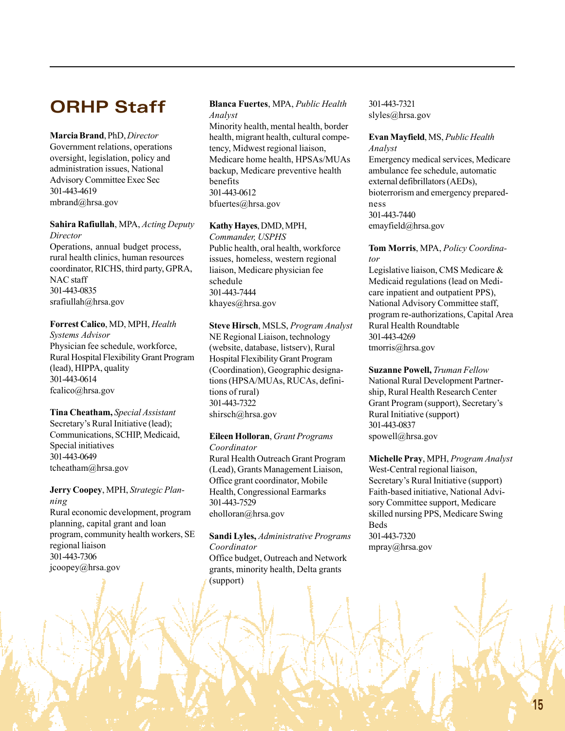## **ORHP Staff**

**Marcia Brand**, PhD, *Director* Government relations, operations oversight, legislation, policy and administration issues, National Advisory Committee Exec Sec 301-443-4619 mbrand@hrsa.gov

#### **Sahira Rafiullah**, MPA, *Acting Deputy Director*

Operations, annual budget process, rural health clinics, human resources coordinator, RICHS, third party, GPRA, NAC staff 301-443-0835 srafiullah@hrsa.gov

#### **Forrest Calico**, MD, MPH, *Health*

*Systems Advisor* Physician fee schedule, workforce, Rural Hospital Flexibility Grant Program (lead), HIPPA, quality 301-443-0614 fcalico@hrsa.gov

#### **Tina Cheatham,** *Special Assistant* Secretary's Rural Initiative (lead); Communications, SCHIP, Medicaid, Special initiatives 301-443-0649 tcheatham@hrsa.gov

**Jerry Coopey**, MPH, *Strategic Planning* Rural economic development, program planning, capital grant and loan program, community health workers, SE regional liaison 301-443-7306 jcoopey@hrsa.gov

#### **Blanca Fuertes**, MPA, *Public Health Analyst*

Minority health, mental health, border health, migrant health, cultural competency, Midwest regional liaison, Medicare home health, HPSAs/MUAs backup, Medicare preventive health benefits 301-443-0612 bfuertes@hrsa.gov

#### **Kathy Hayes**, DMD, MPH,

*Commander, USPHS* Public health, oral health, workforce issues, homeless, western regional liaison, Medicare physician fee schedule 301-443-7444 khayes@hrsa.gov

**Steve Hirsch**, MSLS, *Program Analyst* NE Regional Liaison, technology (website, database, listserv), Rural Hospital Flexibility Grant Program (Coordination), Geographic designations (HPSA/MUAs, RUCAs, definitions of rural) 301-443-7322 shirsch@hrsa.gov

#### **Eileen Holloran**, *Grant Programs*

*Coordinator* Rural Health Outreach Grant Program (Lead), Grants Management Liaison, Office grant coordinator, Mobile Health, Congressional Earmarks 301-443-7529 eholloran@hrsa.gov

**Sandi Lyles,** *Administrative Programs Coordinator* Office budget, Outreach and Network grants, minority health, Delta grants (support)

301-443-7321 slyles@hrsa.gov

## **Evan Mayfield**, MS, *Public Health Analyst*

Emergency medical services, Medicare ambulance fee schedule, automatic external defibrillators (AEDs), bioterrorism and emergency preparedness 301-443-7440 emayfield@hrsa.gov

#### **Tom Morris**, MPA, *Policy Coordinator*

Legislative liaison, CMS Medicare & Medicaid regulations (lead on Medicare inpatient and outpatient PPS), National Advisory Committee staff, program re-authorizations, Capital Area Rural Health Roundtable 301-443-4269 tmorris@hrsa.gov

**Suzanne Powell,** *Truman Fellow* National Rural Development Partnership, Rural Health Research Center Grant Program (support), Secretary's Rural Initiative (support) 301-443-0837 spowell@hrsa.gov

**Michelle Pray**, MPH, *Program Analyst* West-Central regional liaison, Secretary's Rural Initiative (support) Faith-based initiative, National Advisory Committee support, Medicare skilled nursing PPS, Medicare Swing Beds 301-443-7320 mpray@hrsa.gov